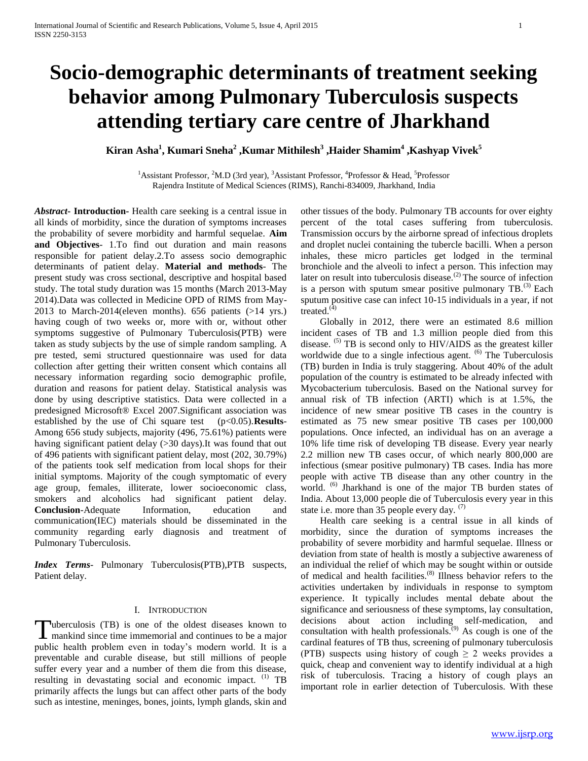# **Socio-demographic determinants of treatment seeking behavior among Pulmonary Tuberculosis suspects attending tertiary care centre of Jharkhand**

**Kiran Asha<sup>1</sup> , Kumari Sneha<sup>2</sup> ,Kumar Mithilesh<sup>3</sup> ,Haider Shamim<sup>4</sup> ,Kashyap Vivek<sup>5</sup>**

<sup>1</sup>Assistant Professor, <sup>2</sup>M.D (3rd year), <sup>3</sup>Assistant Professor, <sup>4</sup>Professor & Head, <sup>5</sup>Professor Rajendra Institute of Medical Sciences (RIMS), Ranchi-834009, Jharkhand, India

*Abstract***- Introduction-** Health care seeking is a central issue in all kinds of morbidity, since the duration of symptoms increases the probability of severe morbidity and harmful sequelae. **Aim and Objectives**- 1.To find out duration and main reasons responsible for patient delay.2.To assess socio demographic determinants of patient delay. **Material and methods**- The present study was cross sectional, descriptive and hospital based study. The total study duration was 15 months (March 2013-May 2014).Data was collected in Medicine OPD of RIMS from May-2013 to March-2014(eleven months). 656 patients (>14 yrs.) having cough of two weeks or, more with or, without other symptoms suggestive of Pulmonary Tuberculosis(PTB) were taken as study subjects by the use of simple random sampling. A pre tested, semi structured questionnaire was used for data collection after getting their written consent which contains all necessary information regarding socio demographic profile, duration and reasons for patient delay. Statistical analysis was done by using descriptive statistics. Data were collected in a predesigned Microsoft® Excel 2007.Significant association was established by the use of Chi square test (p<0.05). **Results**-Among 656 study subjects, majority (496, 75.61%) patients were having significant patient delay (>30 days).It was found that out of 496 patients with significant patient delay, most (202, 30.79%) of the patients took self medication from local shops for their initial symptoms. Majority of the cough symptomatic of every age group, females, illiterate, lower socioeconomic class, smokers and alcoholics had significant patient delay. **Conclusion**-Adequate Information, education and communication(IEC) materials should be disseminated in the community regarding early diagnosis and treatment of Pulmonary Tuberculosis.

*Index Terms*- Pulmonary Tuberculosis(PTB),PTB suspects, Patient delay.

# I. INTRODUCTION

uberculosis (TB) is one of the oldest diseases known to Tuberculosis (TB) is one of the oldest diseases known to mankind since time immemorial and continues to be a major public health problem even in today's modern world. It is a preventable and curable disease, but still millions of people suffer every year and a number of them die from this disease, resulting in devastating social and economic impact.  $^{(1)}$  TB primarily affects the lungs but can affect other parts of the body such as intestine, meninges, bones, joints, lymph glands, skin and

other tissues of the body. Pulmonary TB accounts for over eighty percent of the total cases suffering from tuberculosis. Transmission occurs by the airborne spread of infectious droplets and droplet nuclei containing the tubercle bacilli. When a person inhales, these micro particles get lodged in the terminal bronchiole and the alveoli to infect a person. This infection may later on result into tuberculosis disease.<sup>(2)</sup> The source of infection is a person with sputum smear positive pulmonary  $TB^{(3)}$  Each sputum positive case can infect 10-15 individuals in a year, if not treated. $(4)$ 

 Globally in 2012, there were an estimated 8.6 million incident cases of TB and 1.3 million people died from this disease. <sup>(5)</sup> TB is second only to HIV/AIDS as the greatest killer worldwide due to a single infectious agent. <sup>(6)</sup> The Tuberculosis (TB) burden in India is truly staggering. About 40% of the adult population of the country is estimated to be already infected with Mycobacterium tuberculosis. Based on the National survey for annual risk of TB infection (ARTI) which is at 1.5%, the incidence of new smear positive TB cases in the country is estimated as 75 new smear positive TB cases per 100,000 populations. Once infected, an individual has on an average a 10% life time risk of developing TB disease. Every year nearly 2.2 million new TB cases occur, of which nearly 800,000 are infectious (smear positive pulmonary) TB cases. India has more people with active TB disease than any other country in the world. <sup>(6)</sup> Jharkhand is one of the major TB burden states of India. About 13,000 people die of Tuberculosis every year in this state i.e. more than 35 people every day.  $(7)$ 

 Health care seeking is a central issue in all kinds of morbidity, since the duration of symptoms increases the probability of severe morbidity and harmful sequelae. Illness or deviation from state of health is mostly a subjective awareness of an individual the relief of which may be sought within or outside of medical and health facilities.(8) Illness behavior refers to the activities undertaken by individuals in response to symptom experience. It typically includes mental debate about the significance and seriousness of these symptoms, lay consultation, decisions about action including self-medication, and consultation with health professionals.<sup> $(9)$ </sup> As cough is one of the cardinal features of TB thus, screening of pulmonary tuberculosis (PTB) suspects using history of cough  $\geq 2$  weeks provides a quick, cheap and convenient way to identify individual at a high risk of tuberculosis. Tracing a history of cough plays an important role in earlier detection of Tuberculosis. With these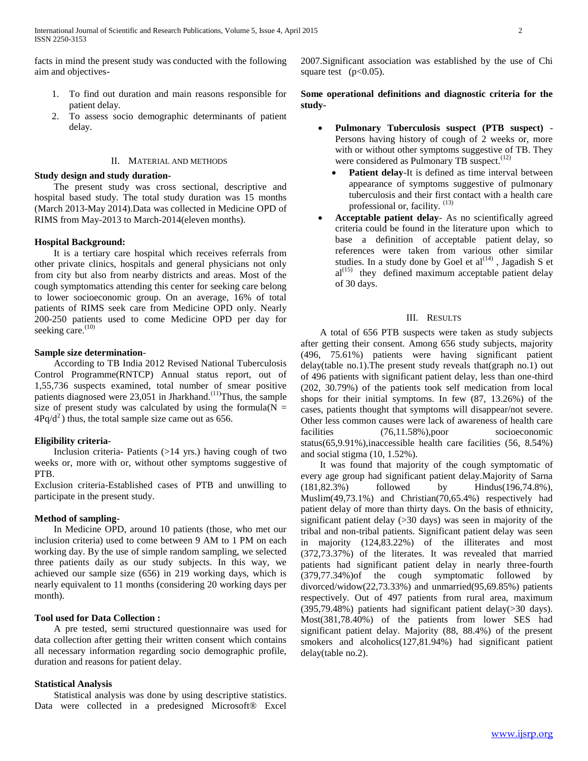facts in mind the present study was conducted with the following aim and objectives-

- 1. To find out duration and main reasons responsible for patient delay.
- 2. To assess socio demographic determinants of patient delay.

#### II. MATERIAL AND METHODS

#### **Study design and study duration-**

 The present study was cross sectional, descriptive and hospital based study. The total study duration was 15 months (March 2013-May 2014).Data was collected in Medicine OPD of RIMS from May-2013 to March-2014(eleven months).

### **Hospital Background:**

 It is a tertiary care hospital which receives referrals from other private clinics, hospitals and general physicians not only from city but also from nearby districts and areas. Most of the cough symptomatics attending this center for seeking care belong to lower socioeconomic group. On an average, 16% of total patients of RIMS seek care from Medicine OPD only. Nearly 200-250 patients used to come Medicine OPD per day for seeking care. $(10)$ 

#### **Sample size determination**-

 According to TB India 2012 Revised National Tuberculosis Control Programme(RNTCP) Annual status report, out of 1,55,736 suspects examined, total number of smear positive patients diagnosed were 23,051 in Jharkhand.<sup>(11)</sup>Thus, the sample size of present study was calculated by using the formula( $N =$  $4Pq/d^2$ ) thus, the total sample size came out as 656.

### **Eligibility criteria**-

 Inclusion criteria- Patients (>14 yrs.) having cough of two weeks or, more with or, without other symptoms suggestive of PTB.

Exclusion criteria-Established cases of PTB and unwilling to participate in the present study.

## **Method of sampling-**

 In Medicine OPD, around 10 patients (those, who met our inclusion criteria) used to come between 9 AM to 1 PM on each working day. By the use of simple random sampling, we selected three patients daily as our study subjects. In this way, we achieved our sample size (656) in 219 working days, which is nearly equivalent to 11 months (considering 20 working days per month).

## **Tool used for Data Collection :**

 A pre tested, semi structured questionnaire was used for data collection after getting their written consent which contains all necessary information regarding socio demographic profile, duration and reasons for patient delay.

### **Statistical Analysis**

 Statistical analysis was done by using descriptive statistics. Data were collected in a predesigned Microsoft® Excel 2007.Significant association was established by the use of Chi square test  $(p<0.05)$ .

## **Some operational definitions and diagnostic criteria for the study-**

- **Pulmonary Tuberculosis suspect (PTB suspect)**  Persons having history of cough of 2 weeks or, more with or without other symptoms suggestive of TB. They were considered as Pulmonary TB suspect.<sup>(12)</sup>
	- **Patient delay**-It is defined as time interval between appearance of symptoms suggestive of pulmonary tuberculosis and their first contact with a health care professional or, facility.  $(13)$
- **Acceptable patient delay** As no scientifically agreed criteria could be found in the literature upon which to base a definition of acceptable patient delay, so references were taken from various other similar studies. In a study done by Goel et  $al^{(14)}$ , Jagadish S et  $al^{(15)}$  they defined maximum acceptable patient delay of 30 days.

## III. RESULTS

 A total of 656 PTB suspects were taken as study subjects after getting their consent. Among 656 study subjects, majority (496, 75.61%) patients were having significant patient delay(table no.1).The present study reveals that(graph no.1) out of 496 patients with significant patient delay, less than one-third (202, 30.79%) of the patients took self medication from local shops for their initial symptoms. In few (87, 13.26%) of the cases, patients thought that symptoms will disappear/not severe. Other less common causes were lack of awareness of health care facilities (76,11.58%), poor socioeconomic status(65,9.91%),inaccessible health care facilities (56, 8.54%) and social stigma (10, 1.52%).

 It was found that majority of the cough symptomatic of every age group had significant patient delay.Majority of Sarna (181,82.3%) followed by Hindus(196,74.8%), Muslim(49,73.1%) and Christian(70,65.4%) respectively had patient delay of more than thirty days. On the basis of ethnicity, significant patient delay (>30 days) was seen in majority of the tribal and non-tribal patients. Significant patient delay was seen in majority (124,83.22%) of the illiterates and most (372,73.37%) of the literates. It was revealed that married patients had significant patient delay in nearly three-fourth (379,77.34%)of the cough symptomatic followed by divorced/widow(22,73.33%) and unmarried(95,69.85%) patients respectively. Out of 497 patients from rural area, maximum (395,79.48%) patients had significant patient delay(>30 days). Most(381,78.40%) of the patients from lower SES had significant patient delay. Majority (88, 88.4%) of the present smokers and alcoholics(127,81.94%) had significant patient delay(table no.2).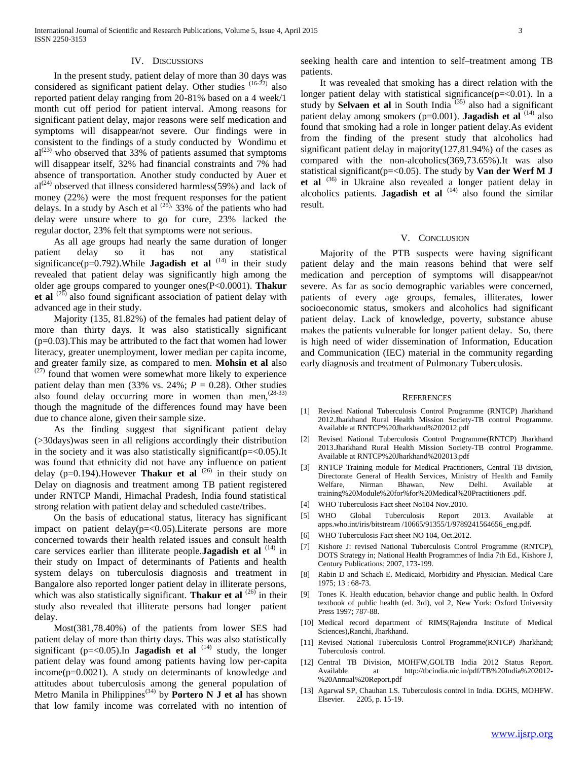## IV. DISCUSSIONS

 In the present study, patient delay of more than 30 days was considered as significant patient delay. Other studies <sup>(16-22)</sup> also reported patient delay ranging from 20-81% based on a 4 week/1 month cut off period for patient interval. Among reasons for significant patient delay, major reasons were self medication and symptoms will disappear/not severe. Our findings were in consistent to the findings of a study conducted by Wondimu et  $al^{(23)}$  who observed that 33% of patients assumed that symptoms will disappear itself, 32% had financial constraints and 7% had absence of transportation. Another study conducted by Auer et  $al^{(24)}$  observed that illness considered harmless(59%) and lack of money (22%) were the most frequent responses for the patient delays. In a study by Asch et al  $(25)$ , 33% of the patients who had delay were unsure where to go for cure, 23% lacked the regular doctor, 23% felt that symptoms were not serious.

 As all age groups had nearly the same duration of longer patient delay so it has not any statistical significance( $p=0.792$ ). While **Jagadish et al**  $(14)$  in their study revealed that patient delay was significantly high among the older age groups compared to younger ones(P<0.0001). **Thakur**  et al<sup>(26)</sup> also found significant association of patient delay with advanced age in their study.

 Majority (135, 81.82%) of the females had patient delay of more than thirty days. It was also statistically significant  $(p=0.03)$ . This may be attributed to the fact that women had lower literacy, greater unemployment, lower median per capita income, and greater family size, as compared to men. **Mohsin et al** also  $(27)$  found that women were somewhat more likely to experience patient delay than men (33% vs. 24%;  $P = 0.28$ ). Other studies also found delay occurring more in women than men,  $(28-33)$ though the magnitude of the differences found may have been due to chance alone, given their sample size.

 As the finding suggest that significant patient delay (>30days)was seen in all religions accordingly their distribution in the society and it was also statistically significant( $p = < 0.05$ ).It was found that ethnicity did not have any influence on patient delay (p=0.194). However **Thakur et al** <sup>(26)</sup> in their study on Delay on diagnosis and treatment among TB patient registered under RNTCP Mandi, Himachal Pradesh, India found statistical strong relation with patient delay and scheduled caste/tribes.

 On the basis of educational status, literacy has significant impact on patient delay( $p = 0.05$ ). Literate persons are more concerned towards their health related issues and consult health care services earlier than illiterate people.**Jagadish et al** (14) in their study on Impact of determinants of Patients and health system delays on tuberculosis diagnosis and treatment in Bangalore also reported longer patient delay in illiterate persons, which was also statistically significant. **Thakur et al** <sup>(26)</sup> in their study also revealed that illiterate persons had longer patient delay.

 Most(381,78.40%) of the patients from lower SES had patient delay of more than thirty days. This was also statistically significant  $(p=<0.05)$ .In **Jagadish et al**  $^{(14)}$  study, the longer patient delay was found among patients having low per-capita  $income(p=0.0021)$ . A study on determinants of knowledge and attitudes about tuberculosis among the general population of Metro Manila in Philippines(34) by **Portero N J et al** has shown that low family income was correlated with no intention of seeking health care and intention to self–treatment among TB patients.

 It was revealed that smoking has a direct relation with the longer patient delay with statistical significance(p=<0.01). In a study by **Selvaen et al** in South India<sup>(35)</sup> also had a significant patient delay among smokers ( $p=0.001$ ). **Jagadish et al**  $(14)$  also found that smoking had a role in longer patient delay.As evident from the finding of the present study that alcoholics had significant patient delay in majority(127,81.94%) of the cases as compared with the non-alcoholics(369,73.65%).It was also statistical significant( $p = < 0.05$ ). The study by **Van der Werf M J et al** (36) in Ukraine also revealed a longer patient delay in alcoholics patients. **Jagadish et al** (14) also found the similar result.

## V. CONCLUSION

 Majority of the PTB suspects were having significant patient delay and the main reasons behind that were self medication and perception of symptoms will disappear/not severe. As far as socio demographic variables were concerned, patients of every age groups, females, illiterates, lower socioeconomic status, smokers and alcoholics had significant patient delay. Lack of knowledge, poverty, substance abuse makes the patients vulnerable for longer patient delay. So, there is high need of wider dissemination of Information, Education and Communication (IEC) material in the community regarding early diagnosis and treatment of Pulmonary Tuberculosis.

#### **REFERENCES**

- [1] Revised National Tuberculosis Control Programme (RNTCP) Jharkhand 2012.Jharkhand Rural Health Mission Society-TB control Programme. Available at RNTCP%20Jharkhand%202012.pdf
- [2] Revised National Tuberculosis Control Programme(RNTCP) Jharkhand 2013.Jharkhand Rural Health Mission Society-TB control Programme. Available at RNTCP%20Jharkhand%202013.pdf
- [3] RNTCP Training module for Medical Practitioners, Central TB division, Directorate General of Health Services, Ministry of Health and Family Welfare, Nirman Bhawan, New Delhi. Available at Welfare, Nirman Bhawan, New Delhi. Available at training%20Module%20for%for%20Medical%20Practitioners .pdf.
- [4] WHO Tuberculosis Fact sheet No104 Nov.2010.
- [5] WHO Global Tuberculosis Report 2013. Available at apps.who.int/iris/bitstream /10665/91355/1/9789241564656\_eng.pdf.
- [6] WHO Tuberculosis Fact sheet NO 104, Oct.2012.
- [7] Kishore J: revised National Tuberculosis Control Programme (RNTCP), DOTS Strategy in; National Health Programmes of India 7th Ed., Kishore J, Century Publications; 2007, 173-199.
- [8] Rabin D and Schach E. Medicaid, Morbidity and Physician. Medical Care 1975; 13 : 68-73.
- [9] Tones K. Health education, behavior change and public health. In Oxford textbook of public health (ed. 3rd), vol 2, New York: Oxford University Press 1997; 787-88.
- [10] Medical record department of RIMS(Rajendra Institute of Medical Sciences),Ranchi, Jharkhand.
- [11] Revised National Tuberculosis Control Programme(RNTCP) Jharkhand; Tuberculosis control.
- [12] Central TB Division, MOHFW, GOI.TB India 2012 Status Report. Available at http://tbcindia.nic.in/pdf/TB%20India%202012- %20Annual%20Report.pdf
- [13] Agarwal SP, Chauhan LS. Tuberculosis control in India. DGHS, MOHFW. Elsevier. 2205, p. 15-19.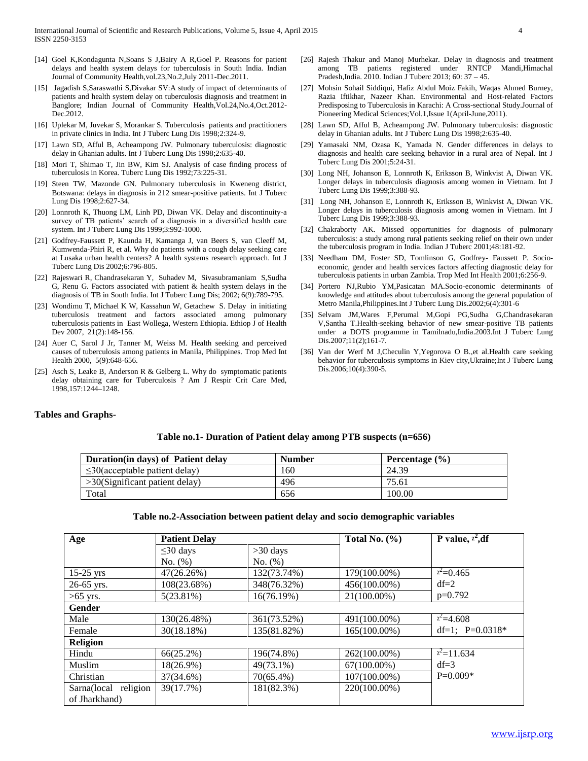- [14] Goel K,Kondagunta N,Soans S J,Bairy A R,Goel P. Reasons for patient delays and health system delays for tuberculosis in South India. Indian Journal of Community Health,vol.23,No.2,July 2011-Dec.2011.
- [15] Jagadish S,Saraswathi S,Divakar SV:A study of impact of determinants of patients and health system delay on tuberculosis diagnosis and treatment in Banglore; Indian Journal of Community Health,Vol.24,No.4,Oct.2012- Dec.2012.
- [16] Uplekar M, Juvekar S, Morankar S. Tuberculosis patients and practitioners in private clinics in India. Int J Tuberc Lung Dis 1998;2:324-9.
- [17] Lawn SD, Afful B, Acheampong JW. Pulmonary tuberculosis: diagnostic delay in Ghanian adults. Int J Tuberc Lung Dis 1998;2:635-40.
- [18] Mori T, Shimao T, Jin BW, Kim SJ. Analysis of case finding process of tuberculosis in Korea. Tuberc Lung Dis 1992;73:225-31.
- [19] Steen TW, Mazonde GN. Pulmonary tuberculosis in Kweneng district, Botswana: delays in diagnosis in 212 smear-positive patients. Int J Tuberc Lung Dis 1998;2:627-34.
- [20] Lonnroth K, Thuong LM, Linh PD, Diwan VK. Delay and discontinuity-a survey of TB patients' search of a diagnosis in a diversified health care system. Int J Tuberc Lung Dis 1999;3:992-1000.
- [21] Godfrey-Faussett P, Kaunda H, Kamanga J, van Beers S, van Cleeff M, Kumwenda-Phiri R, et al. Why do patients with a cough delay seeking care at Lusaka urban health centers? A health systems research approach. Int J Tuberc Lung Dis 2002;6:796-805.
- [22] Rajeswari R, Chandrasekaran Y, Suhadev M, Sivasubramaniam S,Sudha G, Renu G. Factors associated with patient & health system delays in the diagnosis of TB in South India. Int J Tuberc Lung Dis; 2002; 6(9):789-795.
- [23] Wondimu T, Michael K W, Kassahun W, Getachew S. Delay in initiating tuberculosis treatment and factors associated among pulmonary tuberculosis patients in East Wollega, Western Ethiopia. Ethiop J of Health Dev 2007, 21(2):148-156.
- [24] Auer C, Sarol J Jr, Tanner M, Weiss M. Health seeking and perceived causes of tuberculosis among patients in Manila, Philippines. Trop Med Int Health 2000, 5(9):648-656.
- [25] Asch S, Leake B, Anderson R & Gelberg L. Why do symptomatic patients delay obtaining care for Tuberculosis ? Am J Respir Crit Care Med, 1998,157:1244–1248.
- [26] Rajesh Thakur and Manoj Murhekar. Delay in diagnosis and treatment among TB patients registered under RNTCP Mandi,Himachal Pradesh,India. 2010. Indian J Tuberc 2013; 60: 37 – 45.
- [27] Mohsin Sohail Siddiqui, Hafiz Abdul Moiz Fakih, Waqas Ahmed Burney, Razia Iftikhar, Nazeer Khan. Environmental and Host-related Factors Predisposing to Tuberculosis in Karachi: A Cross-sectional Study.Journal of Pioneering Medical Sciences;Vol.1,Issue 1(April-June,2011).
- [28] Lawn SD, Afful B, Acheampong JW. Pulmonary tuberculosis: diagnostic delay in Ghanian adults. Int J Tuberc Lung Dis 1998;2:635-40.
- [29] Yamasaki NM, Ozasa K, Yamada N. Gender differences in delays to diagnosis and health care seeking behavior in a rural area of Nepal. Int J Tuberc Lung Dis 2001;5:24-31.
- [30] Long NH, Johanson E, Lonnroth K, Eriksson B, Winkvist A, Diwan VK. Longer delays in tuberculosis diagnosis among women in Vietnam. Int J Tuberc Lung Dis 1999;3:388-93.
- [31] Long NH, Johanson E, Lonnroth K, Eriksson B, Winkvist A, Diwan VK. Longer delays in tuberculosis diagnosis among women in Vietnam. Int J Tuberc Lung Dis 1999;3:388-93.
- [32] Chakraborty AK. Missed opportunities for diagnosis of pulmonary tuberculosis: a study among rural patients seeking relief on their own under the tuberculosis program in India. Indian J Tuberc 2001;48:181-92.
- [33] Needham DM, Foster SD, Tomlinson G, Godfrey- Faussett P. Socioeconomic, gender and health services factors affecting diagnostic delay for tuberculosis patients in urban Zambia. Trop Med Int Health 2001;6:256-9.
- [34] Portero NJ,Rubio YM,Pasicatan MA.Socio-economic determinants of knowledge and attitudes about tuberculosis among the general population of Metro Manila,Philippines.Int J Tuberc Lung Dis.2002;6(4):301-6
- [35] Selvam JM,Wares F,Perumal M,Gopi PG,Sudha G,Chandrasekaran V,Santha T.Health-seeking behavior of new smear-positive TB patients under a DOTS programme in Tamilnadu,India.2003.Int J Tuberc Lung Dis.2007;11(2);161-7.
- [36] Van der Werf M J,Checulin Y,Yegorova O B.,et al.Health care seeking behavior for tuberculosis symptoms in Kiev city,Ukraine;Int J Tuberc Lung Dis.2006;10(4):390-5.

### **Tables and Graphs-**

### **Table no.1- Duration of Patient delay among PTB suspects (n=656)**

| Duration (in days) of Patient delay | <b>Number</b> | Percentage $(\% )$ |
|-------------------------------------|---------------|--------------------|
| $\leq$ 30(acceptable patient delay) | 160           | 24.39              |
| $>30$ (Significant patient delay)   | 496           | 75.61              |
| Total                               | 656           | 100.00             |

#### **Table no.2-Association between patient delay and socio demographic variables**

| Age                     | <b>Patient Delay</b> |              | Total No. $(\%)$ | P value, $x^2$ , df |  |  |  |
|-------------------------|----------------------|--------------|------------------|---------------------|--|--|--|
|                         | $\leq$ 30 days       | $>30$ days   |                  |                     |  |  |  |
|                         | No. (%)              | No. (%)      |                  |                     |  |  |  |
| $15-25$ yrs             | 47(26.26%)           | 132(73.74%)  | 179(100.00%)     | $x^2=0.465$         |  |  |  |
| 26-65 yrs.              | 108(23.68%)          | 348(76.32%)  | 456(100.00%)     | $df=2$              |  |  |  |
| $>65$ yrs.              | $5(23.81\%)$         | 16(76.19%)   | 21(100.00%)      | $p=0.792$           |  |  |  |
| <b>Gender</b>           |                      |              |                  |                     |  |  |  |
| Male                    | 130(26.48%)          | 361(73.52%)  | 491(100.00%)     | $x^2 = 4.608$       |  |  |  |
| Female                  | 30(18.18%)           | 135(81.82%)  | 165(100.00%)     | df=1; $P=0.0318*$   |  |  |  |
| <b>Religion</b>         |                      |              |                  |                     |  |  |  |
| Hindu                   | $66(25.2\%)$         | 196(74.8%)   | 262(100.00%)     | $x^2$ =11.634       |  |  |  |
| Muslim                  | 18(26.9%)            | 49(73.1%)    | $67(100.00\%)$   | $df=3$              |  |  |  |
| Christian               | 37(34.6%)            | $70(65.4\%)$ | 107(100.00%)     | $P=0.009*$          |  |  |  |
| religion<br>Sarna(local | 39(17.7%)            | 181(82.3%)   | 220(100.00%)     |                     |  |  |  |
| of Jharkhand)           |                      |              |                  |                     |  |  |  |